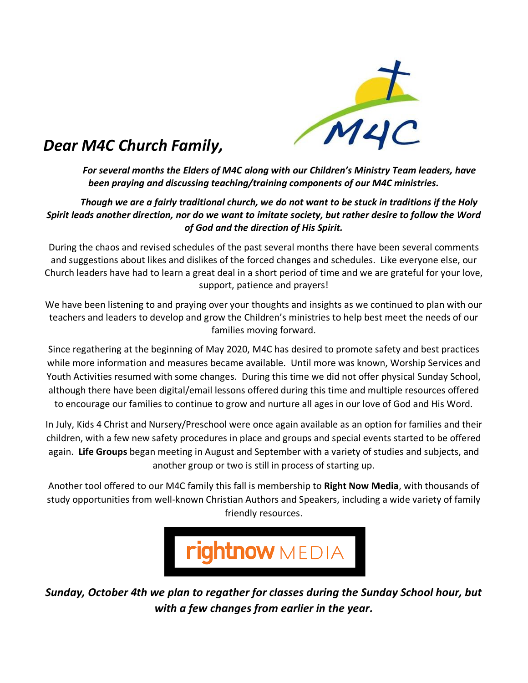

## *Dear M4C Church Family,*

*For several months the Elders of M4C along with our Children's Ministry Team leaders, have been praying and discussing teaching/training components of our M4C ministries.* 

## *Though we are a fairly traditional church, we do not want to be stuck in traditions if the Holy Spirit leads another direction, nor do we want to imitate society, but rather desire to follow the Word of God and the direction of His Spirit.*

During the chaos and revised schedules of the past several months there have been several comments and suggestions about likes and dislikes of the forced changes and schedules. Like everyone else, our Church leaders have had to learn a great deal in a short period of time and we are grateful for your love, support, patience and prayers!

We have been listening to and praying over your thoughts and insights as we continued to plan with our teachers and leaders to develop and grow the Children's ministries to help best meet the needs of our families moving forward.

Since regathering at the beginning of May 2020, M4C has desired to promote safety and best practices while more information and measures became available. Until more was known, Worship Services and Youth Activities resumed with some changes. During this time we did not offer physical Sunday School, although there have been digital/email lessons offered during this time and multiple resources offered to encourage our families to continue to grow and nurture all ages in our love of God and His Word.

In July, Kids 4 Christ and Nursery/Preschool were once again available as an option for families and their children, with a few new safety procedures in place and groups and special events started to be offered again. **Life Groups** began meeting in August and September with a variety of studies and subjects, and another group or two is still in process of starting up.

Another tool offered to our M4C family this fall is membership to **Right Now Media**, with thousands of study opportunities from well-known Christian Authors and Speakers, including a wide variety of family friendly resources.



*Sunday, October 4th we plan to regather for classes during the Sunday School hour, but with a few changes from earlier in the year.*